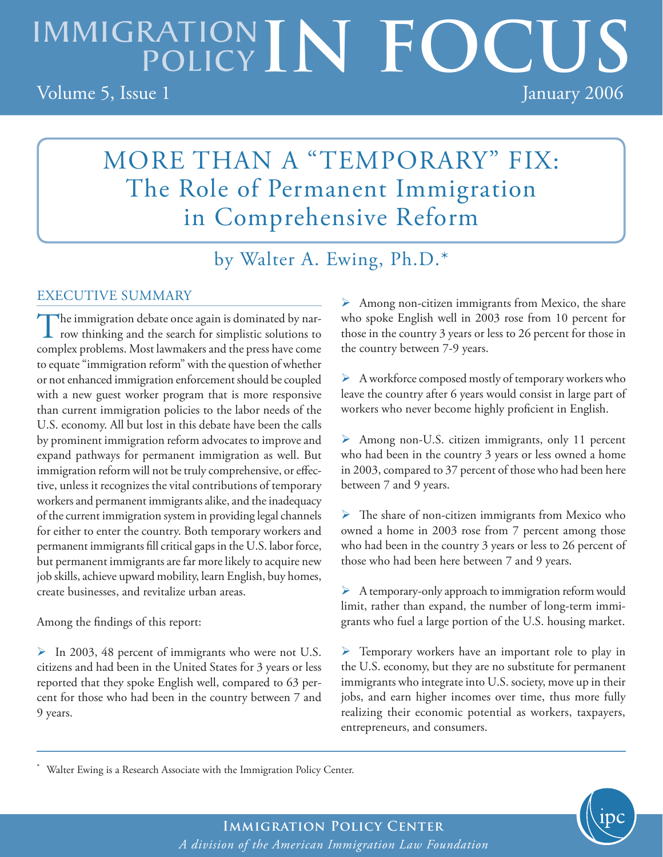# IMMIGRATION IN FOCUS Volume 5, Issue 1 January 2006

## MORE THAN A "TEMPORARY" FIX: The Role of Permanent Immigration in Comprehensive Reform

by Walter A. Ewing, Ph.D.\*

### EXECUTIVE SUMMARY

or not enhanced immigration enforcement should be coupled  $\rightarrow$  A The immigration debate once again is dominated by nar-row thinking and the search for simplistic solutions to complex problems. Most lawmakers and the press have come to equate "immigration reform" with the question of whether with a new guest worker program that is more responsive than current immigration policies to the labor needs of the U.S. economy. All but lost in this debate have been the calls by prominent immigration reform advocates to improve and expand pathways for permanent immigration as well. But immigration reform will not be truly comprehensive, or effective, unless it recognizes the vital contributions of temporary workers and permanent immigrants alike, and the inadequacy of the current immigration system in providing legal channels for either to enter the country. Both temporary workers and permanent immigrants fill critical gaps in the U.S. labor force, but permanent immigrants are far more likely to acquire new job skills, achieve upward mobility, learn English, buy homes, create businesses, and revitalize urban areas.

Among the findings of this report:

\*

 $\triangleright$  In 2003, 48 percent of immigrants who were not U.S. citizens and had been in the United States for 3 years or less reported that they spoke English well, compared to 63 percent for those who had been in the country between 7 and 9 years.

 $\triangleright$  Among non-citizen immigrants from Mexico, the share who spoke English well in 2003 rose from 10 percent for those in the country 3 years or less to 26 percent for those in the country between 7-9 years.

 $\triangleright$  A workforce composed mostly of temporary workers who leave the country after 6 years would consist in large part of workers who never become highly proficient in English.

 Among non-U.S. citizen immigrants, only 11 percent who had been in the country 3 years or less owned a home in 2003, compared to 37 percent of those who had been here between 7 and 9 years.

 The share of non-citizen immigrants from Mexico who owned a home in 2003 rose from 7 percent among those who had been in the country 3 years or less to 26 percent of those who had been here between 7 and 9 years.

 $\triangleright$  A temporary-only approach to immigration reform would limit, rather than expand, the number of long-term immigrants who fuel a large portion of the U.S. housing market.

**F** Temporary workers have an important role to play in the U.S. economy, but they are no substitute for permanent immigrants who integrate into U.S. society, move up in their jobs, and earn higher incomes over time, thus more fully realizing their economic potential as workers, taxpayers, entrepreneurs, and consumers.

Walter Ewing is a Research Associate with the Immigration Policy Center.

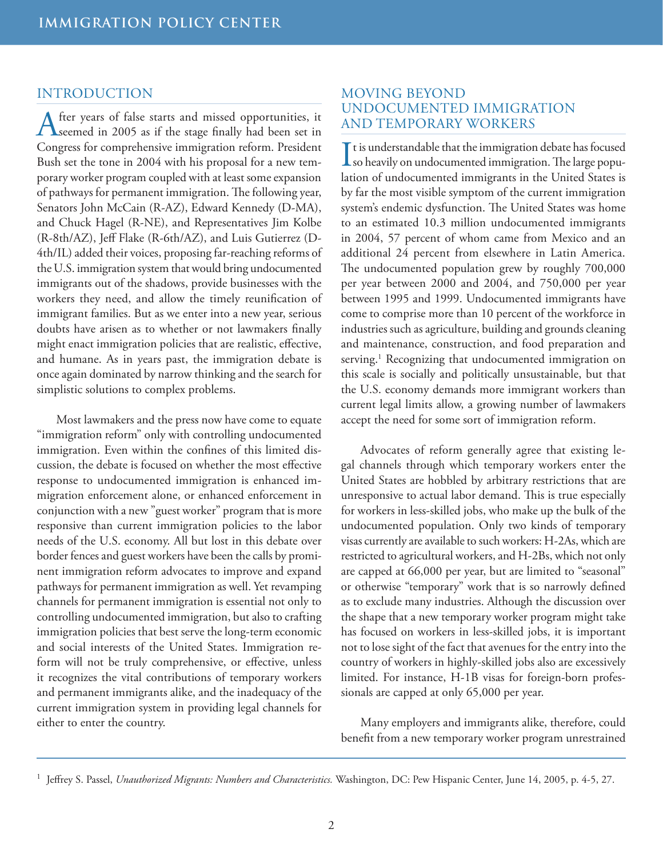#### INTRODUCTION

After years of false starts and missed opportunities, it seemed in 2005 as if the stage finally had been set in Congress for comprehensive immigration reform. President Bush set the tone in 2004 with his proposal for a new temporary worker program coupled with at least some expansion of pathways for permanent immigration. The following year, Senators John McCain (R-AZ), Edward Kennedy (D-MA), and Chuck Hagel (R-NE), and Representatives Jim Kolbe (R-8th/AZ), Jeff Flake (R-6th/AZ), and Luis Gutierrez (D-4th/IL) added their voices, proposing far-reaching reforms of the U.S. immigration system that would bring undocumented immigrants out of the shadows, provide businesses with the workers they need, and allow the timely reunification of immigrant families. But as we enter into a new year, serious doubts have arisen as to whether or not lawmakers finally might enact immigration policies that are realistic, effective, and humane. As in years past, the immigration debate is once again dominated by narrow thinking and the search for simplistic solutions to complex problems.

Most lawmakers and the press now have come to equate "immigration reform" only with controlling undocumented immigration. Even within the confines of this limited discussion, the debate is focused on whether the most effective response to undocumented immigration is enhanced immigration enforcement alone, or enhanced enforcement in conjunction with a new "guest worker" program that is more responsive than current immigration policies to the labor needs of the U.S. economy. All but lost in this debate over border fences and guest workers have been the calls by prominent immigration reform advocates to improve and expand pathways for permanent immigration as well. Yet revamping channels for permanent immigration is essential not only to controlling undocumented immigration, but also to crafting immigration policies that best serve the long-term economic and social interests of the United States. Immigration reform will not be truly comprehensive, or effective, unless it recognizes the vital contributions of temporary workers and permanent immigrants alike, and the inadequacy of the current immigration system in providing legal channels for either to enter the country.

#### MOVING BEYOND UNDOCUMENTED IMMIGRATION AND TEMPORARY WORKERS

It is understandable that the immigration debate has focused<br>so heavily on undocumented immigration. The large popu-I t is understandable that the immigration debate has focused lation of undocumented immigrants in the United States is by far the most visible symptom of the current immigration system's endemic dysfunction. The United States was home to an estimated 10.3 million undocumented immigrants in 2004, 57 percent of whom came from Mexico and an additional 24 percent from elsewhere in Latin America. The undocumented population grew by roughly 700,000 per year between 2000 and 2004, and 750,000 per year between 1995 and 1999. Undocumented immigrants have come to comprise more than 10 percent of the workforce in industries such as agriculture, building and grounds cleaning and maintenance, construction, and food preparation and serving.1 Recognizing that undocumented immigration on this scale is socially and politically unsustainable, but that the U.S. economy demands more immigrant workers than current legal limits allow, a growing number of lawmakers accept the need for some sort of immigration reform.

Advocates of reform generally agree that existing legal channels through which temporary workers enter the United States are hobbled by arbitrary restrictions that are unresponsive to actual labor demand. This is true especially for workers in less-skilled jobs, who make up the bulk of the undocumented population. Only two kinds of temporary visas currently are available to such workers: H-2As, which are restricted to agricultural workers, and H-2Bs, which not only are capped at 66,000 per year, but are limited to "seasonal" or otherwise "temporary" work that is so narrowly defined as to exclude many industries. Although the discussion over the shape that a new temporary worker program might take has focused on workers in less-skilled jobs, it is important not to lose sight of the fact that avenues for the entry into the country of workers in highly-skilled jobs also are excessively limited. For instance, H-1B visas for foreign-born professionals are capped at only 65,000 per year.

Many employers and immigrants alike, therefore, could benefit from a new temporary worker program unrestrained

<sup>&</sup>lt;sup>1</sup> Jeffrey S. Passel, *Unauthorized Migrants: Numbers and Characteristics*. Washington, DC: Pew Hispanic Center, June 14, 2005, p. 4-5, 27.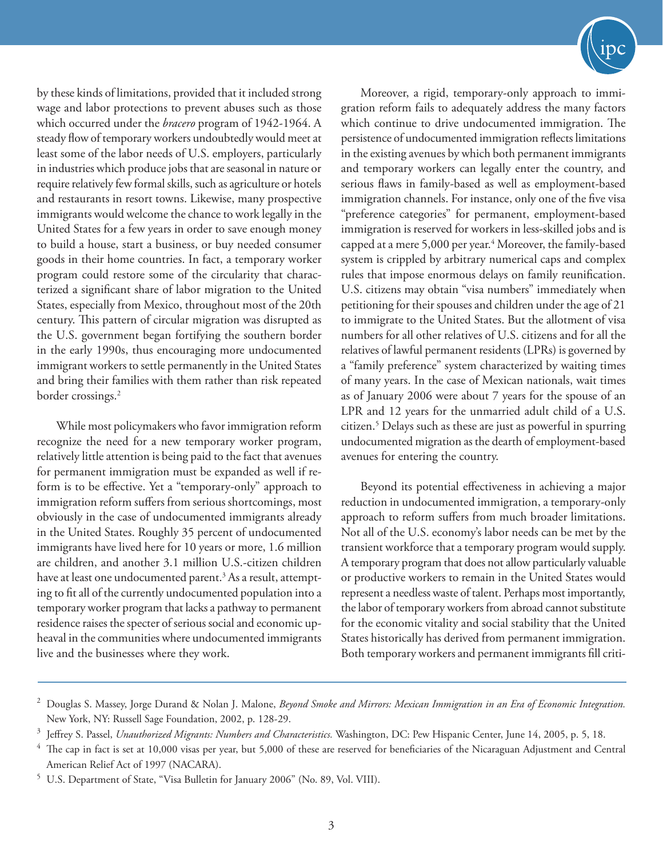by these kinds of limitations, provided that it included strong wage and labor protections to prevent abuses such as those which occurred under the *bracero* program of 1942-1964. A steady flow of temporary workers undoubtedly would meet at least some of the labor needs of U.S. employers, particularly in industries which produce jobs that are seasonal in nature or require relatively few formal skills, such as agriculture or hotels and restaurants in resort towns. Likewise, many prospective immigrants would welcome the chance to work legally in the United States for a few years in order to save enough money to build a house, start a business, or buy needed consumer goods in their home countries. In fact, a temporary worker program could restore some of the circularity that characterized a significant share of labor migration to the United States, especially from Mexico, throughout most of the 20th century. This pattern of circular migration was disrupted as the U.S. government began fortifying the southern border in the early 1990s, thus encouraging more undocumented immigrant workers to settle permanently in the United States and bring their families with them rather than risk repeated border crossings.<sup>2</sup>

While most policymakers who favor immigration reform recognize the need for a new temporary worker program, relatively little attention is being paid to the fact that avenues for permanent immigration must be expanded as well if reform is to be effective. Yet a "temporary-only" approach to immigration reform suffers from serious shortcomings, most obviously in the case of undocumented immigrants already in the United States. Roughly 35 percent of undocumented immigrants have lived here for 10 years or more, 1.6 million are children, and another 3.1 million U.S.-citizen children have at least one undocumented parent. $^3$  As a result, attempting to fit all of the currently undocumented population into a temporary worker program that lacks a pathway to permanent residence raises the specter of serious social and economic upheaval in the communities where undocumented immigrants live and the businesses where they work.



Moreover, a rigid, temporary-only approach to immigration reform fails to adequately address the many factors which continue to drive undocumented immigration. The persistence of undocumented immigration reflects limitations in the existing avenues by which both permanent immigrants and temporary workers can legally enter the country, and serious flaws in family-based as well as employment-based immigration channels. For instance, only one of the five visa "preference categories" for permanent, employment-based immigration is reserved for workers in less-skilled jobs and is capped at a mere 5,000 per year.<sup>4</sup> Moreover, the family-based system is crippled by arbitrary numerical caps and complex rules that impose enormous delays on family reunification. U.S. citizens may obtain "visa numbers" immediately when petitioning for their spouses and children under the age of 21 to immigrate to the United States. But the allotment of visa numbers for all other relatives of U.S. citizens and for all the relatives of lawful permanent residents (LPRs) is governed by a "family preference" system characterized by waiting times of many years. In the case of Mexican nationals, wait times as of January 2006 were about 7 years for the spouse of an LPR and 12 years for the unmarried adult child of a U.S. citizen.5 Delays such as these are just as powerful in spurring undocumented migration as the dearth of employment-based avenues for entering the country.

Beyond its potential effectiveness in achieving a major reduction in undocumented immigration, a temporary-only approach to reform suffers from much broader limitations. Not all of the U.S. economy's labor needs can be met by the transient workforce that a temporary program would supply. A temporary program that does not allow particularly valuable or productive workers to remain in the United States would represent a needless waste of talent. Perhaps most importantly, the labor of temporary workers from abroad cannot substitute for the economic vitality and social stability that the United States historically has derived from permanent immigration. Both temporary workers and permanent immigrants fill criti-

<sup>&</sup>lt;sup>2</sup> Douglas S. Massey, Jorge Durand & Nolan J. Malone, *Beyond Smoke and Mirrors: Mexican Immigration in an Era of Economic Integration.* New York, NY: Russell Sage Foundation, 2002, p. 128-29.

<sup>3</sup>Jeffrey S. Passel, *Unauthorized Migrants: Numbers and Characteristics.* Washington, DC: Pew Hispanic Center, June 14, 2005, p. 5, 18.

The cap in fact is set at 10,000 visas per year, but 5,000 of these are reserved for beneficiaries of the Nicaraguan Adjustment and Central American Relief Act of 1997 (NACARA).

<sup>&</sup>lt;sup>5</sup> U.S. Department of State, "Visa Bulletin for January 2006" (No. 89, Vol. VIII).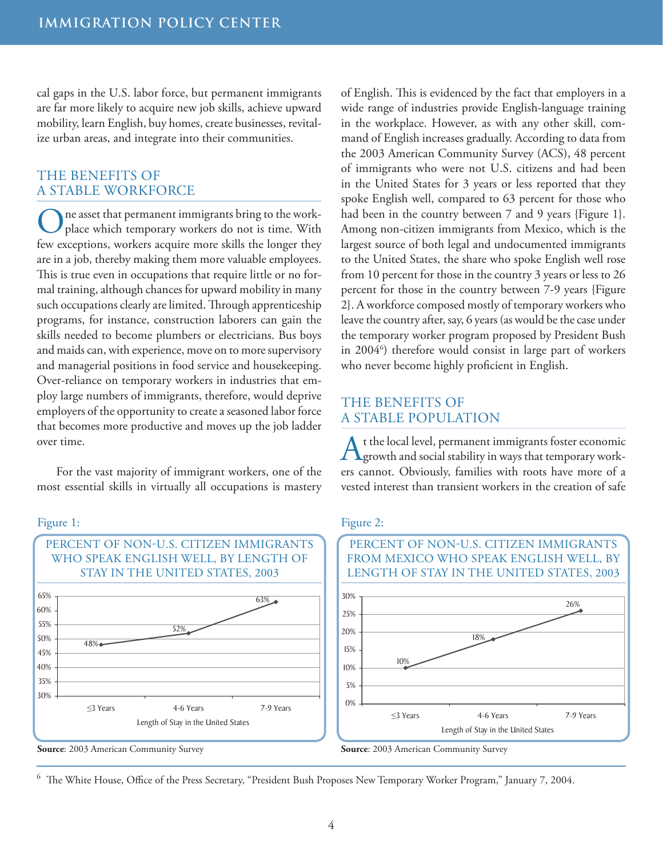cal gaps in the U.S. labor force, but permanent immigrants are far more likely to acquire new job skills, achieve upward mobility, learn English, buy homes, create businesses, revitalize urban areas, and integrate into their communities.

#### THE BENEFITS OF A STABLE WORKFORCE

One asset that permanent immigrants bring to the work-place which temporary workers do not is time. With few exceptions, workers acquire more skills the longer they are in a job, thereby making them more valuable employees. This is true even in occupations that require little or no formal training, although chances for upward mobility in many such occupations clearly are limited. Through apprenticeship programs, for instance, construction laborers can gain the skills needed to become plumbers or electricians. Bus boys and maids can, with experience, move on to more supervisory and managerial positions in food service and housekeeping. Over-reliance on temporary workers in industries that employ large numbers of immigrants, therefore, would deprive employers of the opportunity to create a seasoned labor force that becomes more productive and moves up the job ladder over time.

For the vast majority of immigrant workers, one of the most essential skills in virtually all occupations is mastery

Figure 1:



of English. This is evidenced by the fact that employers in a wide range of industries provide English-language training in the workplace. However, as with any other skill, command of English increases gradually. According to data from the 2003 American Community Survey (ACS), 48 percent of immigrants who were not U.S. citizens and had been in the United States for 3 years or less reported that they spoke English well, compared to 63 percent for those who had been in the country between 7 and 9 years {Figure 1}. Among non-citizen immigrants from Mexico, which is the largest source of both legal and undocumented immigrants to the United States, the share who spoke English well rose from 10 percent for those in the country 3 years or less to 26 percent for those in the country between 7-9 years {Figure 2}. A workforce composed mostly of temporary workers who leave the country after, say, 6 years (as would be the case under the temporary worker program proposed by President Bush in 2004<sup>6</sup>) therefore would consist in large part of workers who never become highly proficient in English.

#### THE BENEFITS OF A STABLE POPULATION

t the local level, permanent immigrants foster economic growth and social stability in ways that temporary workers cannot. Obviously, families with roots have more of a vested interest than transient workers in the creation of safe

#### Figure 2:



<sup>6</sup> The White House, Office of the Press Secretary, "President Bush Proposes New Temporary Worker Program," January 7, 2004.

**Source**: 2003 American Community Survey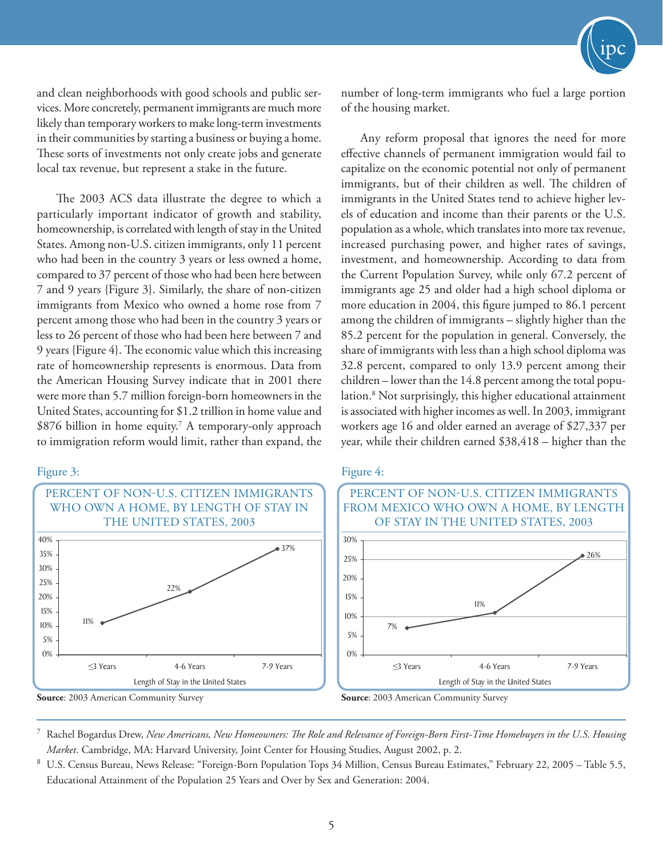and clean neighborhoods with good schools and public services. More concretely, permanent immigrants are much more likely than temporary workers to make long-term investments in their communities by starting a business or buying a home. These sorts of investments not only create jobs and generate local tax revenue, but represent a stake in the future.

The 2003 ACS data illustrate the degree to which a particularly important indicator of growth and stability, homeownership, is correlated with length of stay in the United States. Among non-U.S. citizen immigrants, only 11 percent who had been in the country 3 years or less owned a home, compared to 37 percent of those who had been here between 7 and 9 years {Figure 3}. Similarly, the share of non-citizen immigrants from Mexico who owned a home rose from 7 percent among those who had been in the country 3 years or less to 26 percent of those who had been here between 7 and 9 years {Figure 4}. The economic value which this increasing rate of homeownership represents is enormous. Data from the American Housing Survey indicate that in 2001 there were more than 5.7 million foreign-born homeowners in the United States, accounting for \$1.2 trillion in home value and \$876 billion in home equity.<sup>7</sup> A temporary-only approach to immigration reform would limit, rather than expand, the

#### Figure 3:



number of long-term immigrants who fuel a large portion of the housing market.

Any reform proposal that ignores the need for more effective channels of permanent immigration would fail to capitalize on the economic potential not only of permanent immigrants, but of their children as well. The children of immigrants in the United States tend to achieve higher levels of education and income than their parents or the U.S. population as a whole, which translates into more tax revenue, increased purchasing power, and higher rates of savings, investment, and homeownership. According to data from the Current Population Survey, while only 67.2 percent of immigrants age 25 and older had a high school diploma or more education in 2004, this figure jumped to 86.1 percent among the children of immigrants – slightly higher than the 85.2 percent for the population in general. Conversely, the share of immigrants with less than a high school diploma was 32.8 percent, compared to only 13.9 percent among their children – lower than the 14.8 percent among the total population.8 Not surprisingly, this higher educational attainment is associated with higher incomes as well. In 2003, immigrant workers age 16 and older earned an average of \$27,337 per year, while their children earned \$38,418 – higher than the

#### Figure 4:



**Source**: 2003 American Community Survey Source: 2003 American Community Survey

<sup>7</sup>Rachel Bogardus Drew, *New Americans, New Homeowners: The Role and Relevance of Foreign-Born First-Time Homebuyers in the U.S. Housing Market*. Cambridge, MA: Harvard University, Joint Center for Housing Studies, August 2002, p. 2.

U.S. Census Bureau, News Release: "Foreign-Born Population Tops 34 Million, Census Bureau Estimates," February 22, 2005 - Table 5.5, Educational Attainment of the Population 25 Years and Over by Sex and Generation: 2004.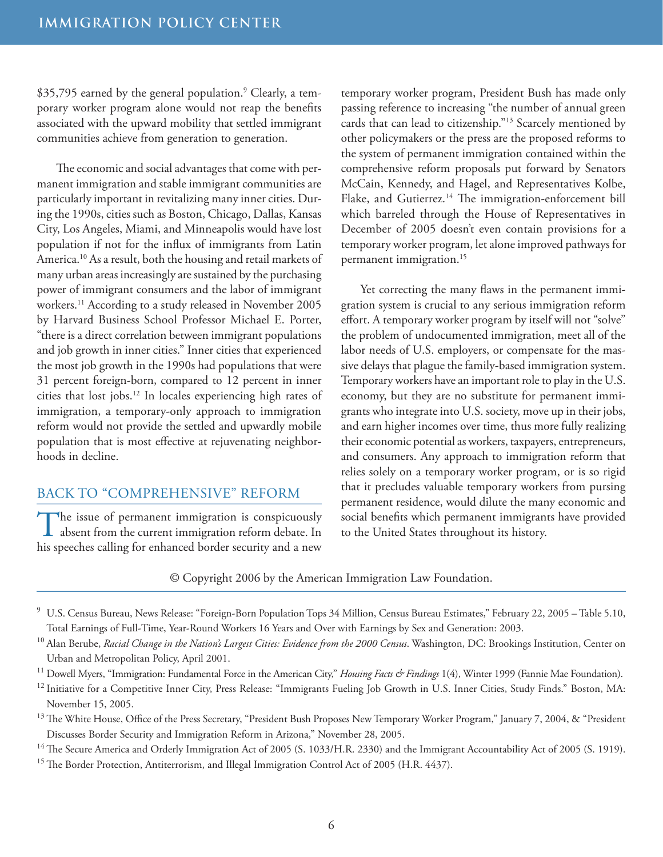\$35,795 earned by the general population.<sup>9</sup> Clearly, a temporary worker program alone would not reap the benefits associated with the upward mobility that settled immigrant communities achieve from generation to generation.

The economic and social advantages that come with permanent immigration and stable immigrant communities are particularly important in revitalizing many inner cities. During the 1990s, cities such as Boston, Chicago, Dallas, Kansas City, Los Angeles, Miami, and Minneapolis would have lost population if not for the influx of immigrants from Latin America.10 As a result, both the housing and retail markets of many urban areas increasingly are sustained by the purchasing power of immigrant consumers and the labor of immigrant workers.11 According to a study released in November 2005 by Harvard Business School Professor Michael E. Porter, "there is a direct correlation between immigrant populations and job growth in inner cities." Inner cities that experienced the most job growth in the 1990s had populations that were 31 percent foreign-born, compared to 12 percent in inner cities that lost jobs.12 In locales experiencing high rates of immigration, a temporary-only approach to immigration reform would not provide the settled and upwardly mobile population that is most effective at rejuvenating neighborhoods in decline.

#### BACK TO "COMPREHENSIVE" REFORM

The issue of permanent immigration is conspicuously absent from the current immigration reform debate. In his speeches calling for enhanced border security and a new

temporary worker program, President Bush has made only passing reference to increasing "the number of annual green cards that can lead to citizenship."13 Scarcely mentioned by other policymakers or the press are the proposed reforms to the system of permanent immigration contained within the comprehensive reform proposals put forward by Senators McCain, Kennedy, and Hagel, and Representatives Kolbe, Flake, and Gutierrez.<sup>14</sup> The immigration-enforcement bill which barreled through the House of Representatives in December of 2005 doesn't even contain provisions for a temporary worker program, let alone improved pathways for permanent immigration.15

Yet correcting the many flaws in the permanent immigration system is crucial to any serious immigration reform effort. A temporary worker program by itself will not "solve" the problem of undocumented immigration, meet all of the labor needs of U.S. employers, or compensate for the massive delays that plague the family-based immigration system. Temporary workers have an important role to play in the U.S. economy, but they are no substitute for permanent immigrants who integrate into U.S. society, move up in their jobs, and earn higher incomes over time, thus more fully realizing their economic potential as workers, taxpayers, entrepreneurs, and consumers. Any approach to immigration reform that relies solely on a temporary worker program, or is so rigid that it precludes valuable temporary workers from pursing permanent residence, would dilute the many economic and social benefits which permanent immigrants have provided to the United States throughout its history.

#### © Copyright 2006 by the American Immigration Law Foundation.

<sup>9</sup> U.S. Census Bureau, News Release: "Foreign-Born Population Tops 34 Million, Census Bureau Estimates," February 22, 2005 - Table 5.10, Total Earnings of Full-Time, Year-Round Workers 16 Years and Over with Earnings by Sex and Generation: 2003.

<sup>10</sup> Alan Berube, *Racial Change in the Nation's Largest Cities: Evidence from the 2000 Census*. Washington, DC: Brookings Institution, Center on Urban and Metropolitan Policy, April 2001.

<sup>11</sup> Dowell Myers, "Immigration: Fundamental Force in the American City," *Housing Facts & Findings* 1(4), Winter 1999 (Fannie Mae Foundation).

<sup>12</sup> Initiative for a Competitive Inner City, Press Release: "Immigrants Fueling Job Growth in U.S. Inner Cities, Study Finds." Boston, MA: November 15, 2005.

<sup>13</sup> The White House, Office of the Press Secretary, "President Bush Proposes New Temporary Worker Program," January 7, 2004, & "President Discusses Border Security and Immigration Reform in Arizona," November 28, 2005.

<sup>14</sup> The Secure America and Orderly Immigration Act of 2005 (S. 1033/H.R. 2330) and the Immigrant Accountability Act of 2005 (S. 1919).

<sup>15</sup> The Border Protection, Antiterrorism, and Illegal Immigration Control Act of 2005 (H.R. 4437).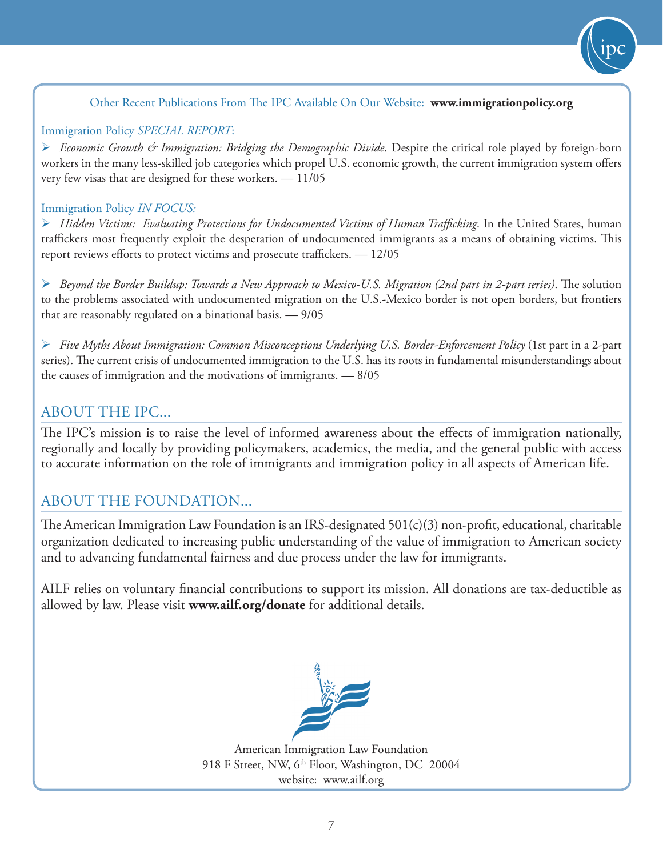#### Other Recent Publications From The IPC Available On Our Website: **www.immigrationpolicy.org**

#### Immigration Policy *SPECIAL REPORT*:

 *Economic Growth & Immigration: Bridging the Demographic Divide*. Despite the critical role played by foreign-born workers in the many less-skilled job categories which propel U.S. economic growth, the current immigration system offers very few visas that are designed for these workers. — 11/05

#### Immigration Policy *IN FOCUS:*

 *Hidden Victims: Evaluating Protections for Undocumented Victims of Human Trafficking*. In the United States, human traffickers most frequently exploit the desperation of undocumented immigrants as a means of obtaining victims. This report reviews efforts to protect victims and prosecute traffickers. — 12/05

 *Beyond the Border Buildup: Towards a New Approach to Mexico-U.S. Migration (2nd part in 2-part series)*. The solution to the problems associated with undocumented migration on the U.S.-Mexico border is not open borders, but frontiers that are reasonably regulated on a binational basis. — 9/05

 *Five Myths About Immigration: Common Misconceptions Underlying U.S. Border-Enforcement Policy* (1st part in a 2-part series). The current crisis of undocumented immigration to the U.S. has its roots in fundamental misunderstandings about the causes of immigration and the motivations of immigrants. — 8/05

#### ABOUT THE IPC...

The IPC's mission is to raise the level of informed awareness about the effects of immigration nationally, regionally and locally by providing policymakers, academics, the media, and the general public with access to accurate information on the role of immigrants and immigration policy in all aspects of American life.

#### ABOUT THE FOUNDATION...

The American Immigration Law Foundation is an IRS-designated 501(c)(3) non-profit, educational, charitable organization dedicated to increasing public understanding of the value of immigration to American society and to advancing fundamental fairness and due process under the law for immigrants.

AILF relies on voluntary financial contributions to support its mission. All donations are tax-deductible as allowed by law. Please visit **www.ailf.org/donate** for additional details.



American Immigration Law Foundation 918 F Street, NW, 6<sup>th</sup> Floor, Washington, DC 20004 website: www.ailf.org